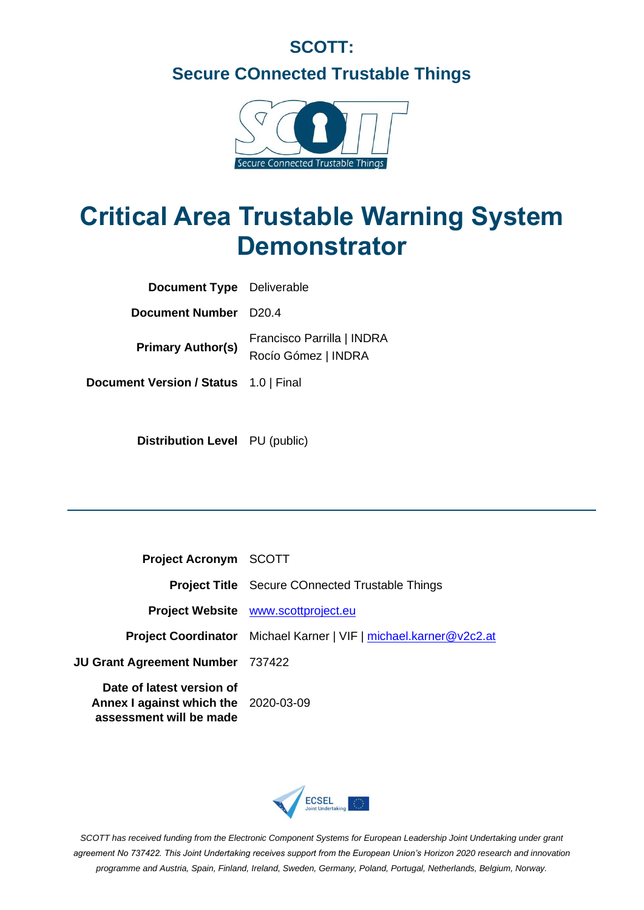## **SCOTT: Secure COnnected Trustable Things**



# **Critical Area Trustable Warning System Demonstrator**

| <b>Document Type</b> Deliverable      |                                                   |
|---------------------------------------|---------------------------------------------------|
| <b>Document Number</b> D20.4          |                                                   |
| <b>Primary Author(s)</b>              | Francisco Parrilla   INDRA<br>Rocío Gómez   INDRA |
| Document Version / Status 1.0   Final |                                                   |

**Distribution Level** PU (public)

| <b>Project Acronym SCOTT</b>                                                                 |                                                                          |
|----------------------------------------------------------------------------------------------|--------------------------------------------------------------------------|
|                                                                                              | <b>Project Title</b> Secure COnnected Trustable Things                   |
|                                                                                              | Project Website www.scottproject.eu                                      |
|                                                                                              | <b>Project Coordinator</b> Michael Karner   VIF   michael.karner@v2c2.at |
| <b>JU Grant Agreement Number</b> 737422                                                      |                                                                          |
| Date of latest version of<br>Annex I against which the 2020-03-09<br>assessment will be made |                                                                          |



*SCOTT has received funding from the Electronic Component Systems for European Leadership Joint Undertaking under grant agreement No 737422. This Joint Undertaking receives support from the European Union's Horizon 2020 research and innovation programme and Austria, Spain, Finland, Ireland, Sweden, Germany, Poland, Portugal, Netherlands, Belgium, Norway.*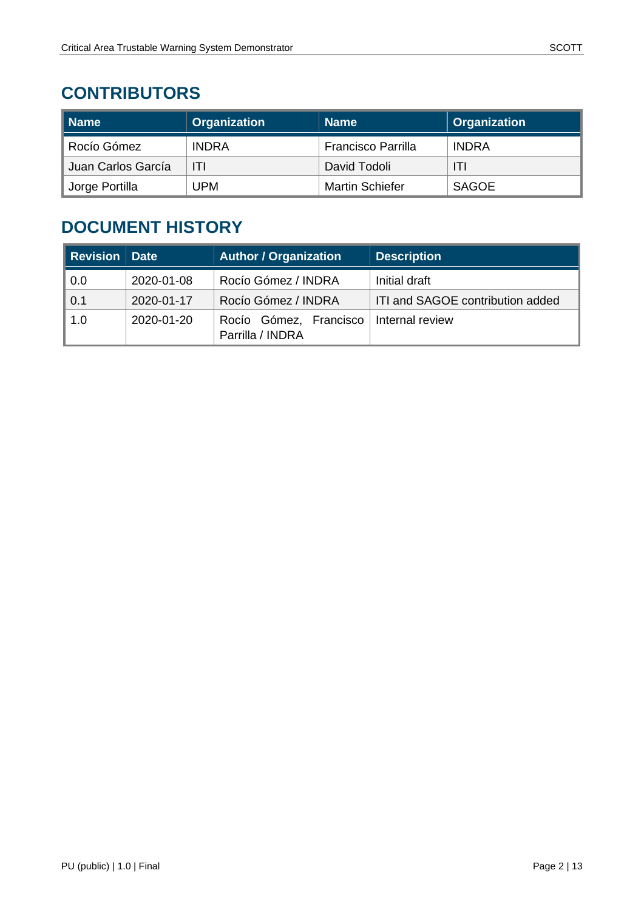### **CONTRIBUTORS**

| ∥ Name                      | <b>Organization</b> | <b>Name</b>               | Organization |
|-----------------------------|---------------------|---------------------------|--------------|
| Rocío Gómez                 | <b>INDRA</b>        | <b>Francisco Parrilla</b> | <b>INDRA</b> |
| Juan Carlos García          | ITI                 | David Todoli              | ITI          |
| <sup>®</sup> Jorge Portilla | UPM                 | <b>Martin Schiefer</b>    | <b>SAGOE</b> |

### **DOCUMENT HISTORY**

| <b>Revision Date</b> |            | <b>Author / Organization</b>               | <b>Description</b>               |
|----------------------|------------|--------------------------------------------|----------------------------------|
| 0.0                  | 2020-01-08 | Rocío Gómez / INDRA                        | Initial draft                    |
| 0.1                  | 2020-01-17 | Rocío Gómez / INDRA                        | ITI and SAGOE contribution added |
| 1.0                  | 2020-01-20 | Rocío Gómez, Francisco<br>Parrilla / INDRA | Internal review                  |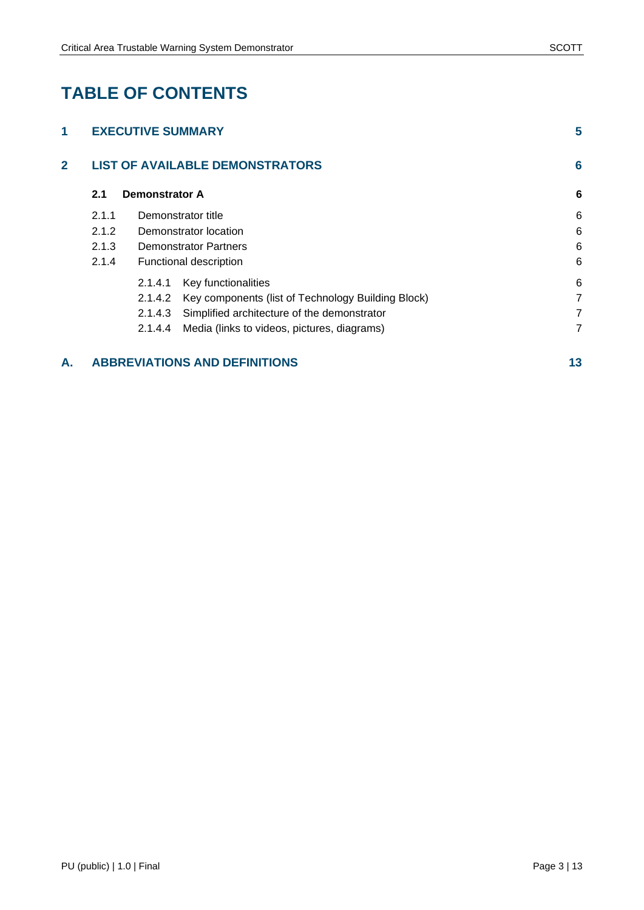### **TABLE OF CONTENTS**

| 1              |       | <b>EXECUTIVE SUMMARY</b> |                                                    | 5 |
|----------------|-------|--------------------------|----------------------------------------------------|---|
| $\overline{2}$ |       |                          | <b>LIST OF AVAILABLE DEMONSTRATORS</b>             | 6 |
|                | 2.1   | <b>Demonstrator A</b>    |                                                    | 6 |
|                | 2.1.1 |                          | Demonstrator title                                 | 6 |
|                | 2.1.2 |                          | Demonstrator location                              | 6 |
|                | 2.1.3 |                          | <b>Demonstrator Partners</b>                       | 6 |
|                | 2.1.4 |                          | Functional description                             | 6 |
|                |       | 2.1.4.1                  | Key functionalities                                | 6 |
|                |       | 2.1.4.2                  | Key components (list of Technology Building Block) | 7 |
|                |       | 2.1.4.3                  | Simplified architecture of the demonstrator        | 7 |
|                |       | 2.1.4.4                  | Media (links to videos, pictures, diagrams)        | 7 |
|                |       |                          |                                                    |   |

#### **A. [ABBREVIATIONS AND DEFINITIONS](#page-12-0) 13**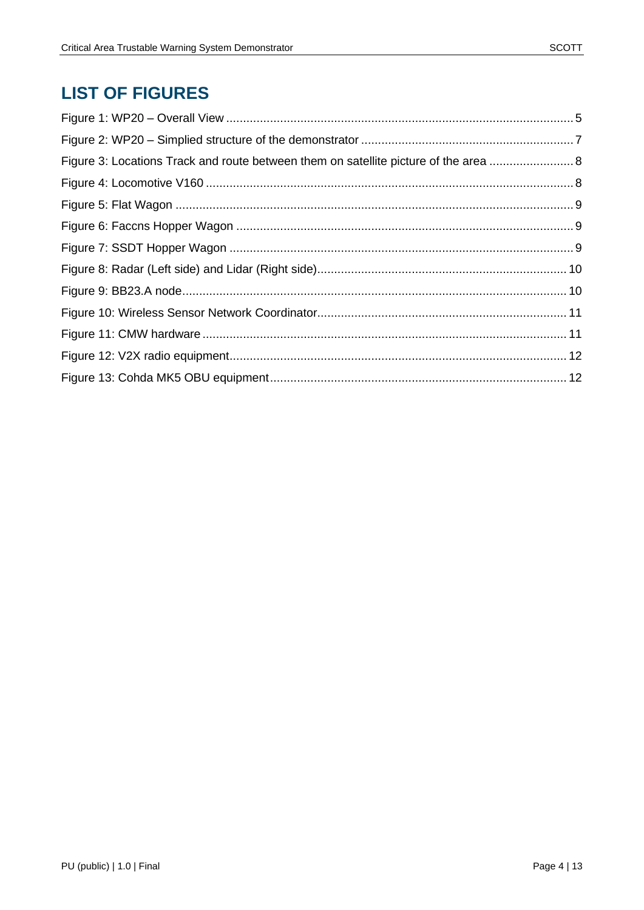### **LIST OF FIGURES**

| Figure 3: Locations Track and route between them on satellite picture of the area  8 |  |
|--------------------------------------------------------------------------------------|--|
|                                                                                      |  |
|                                                                                      |  |
|                                                                                      |  |
|                                                                                      |  |
|                                                                                      |  |
|                                                                                      |  |
|                                                                                      |  |
|                                                                                      |  |
|                                                                                      |  |
|                                                                                      |  |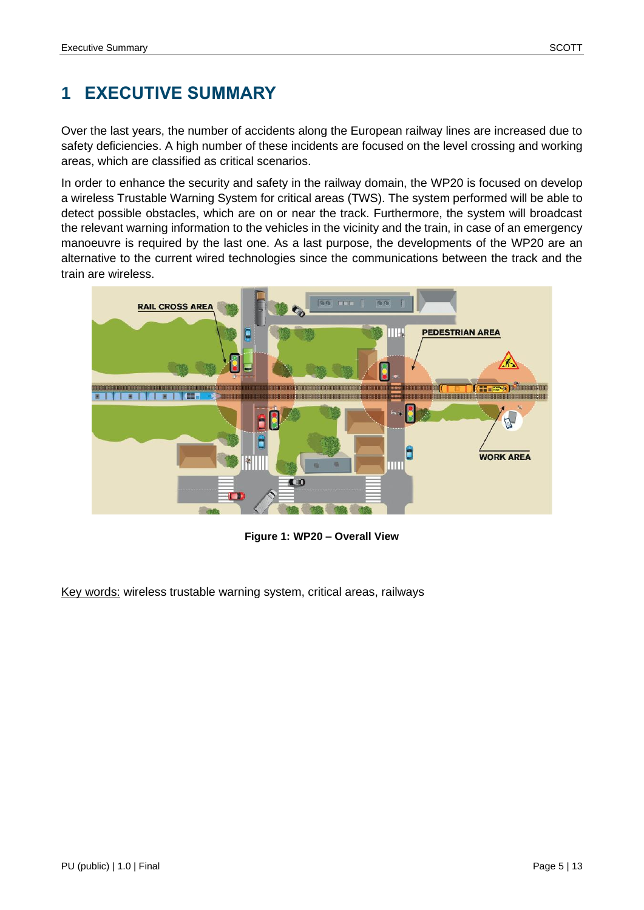### <span id="page-4-0"></span>**1 EXECUTIVE SUMMARY**

Over the last years, the number of accidents along the European railway lines are increased due to safety deficiencies. A high number of these [incidents](https://www.linguee.es/ingles-espanol/traduccion/incidents.html) are focused on the level crossing and working areas, which are classified as critical scenarios.

In order to enhance the security and safety in the railway domain, the WP20 is focused on develop a wireless Trustable Warning System for critical areas (TWS). The system performed will be able to detect possible obstacles, which are on or near the track. Furthermore, the system will broadcast the relevant warning information to the vehicles in the vicinity and the train, in case of an emergency manoeuvre is required by the last one. As a last purpose, the developments of the WP20 are an alternative to the current wired technologies since the communications between the track and the train are wireless.



**Figure 1: WP20 – Overall View**

<span id="page-4-1"></span>Key words: wireless trustable warning system, critical areas, railways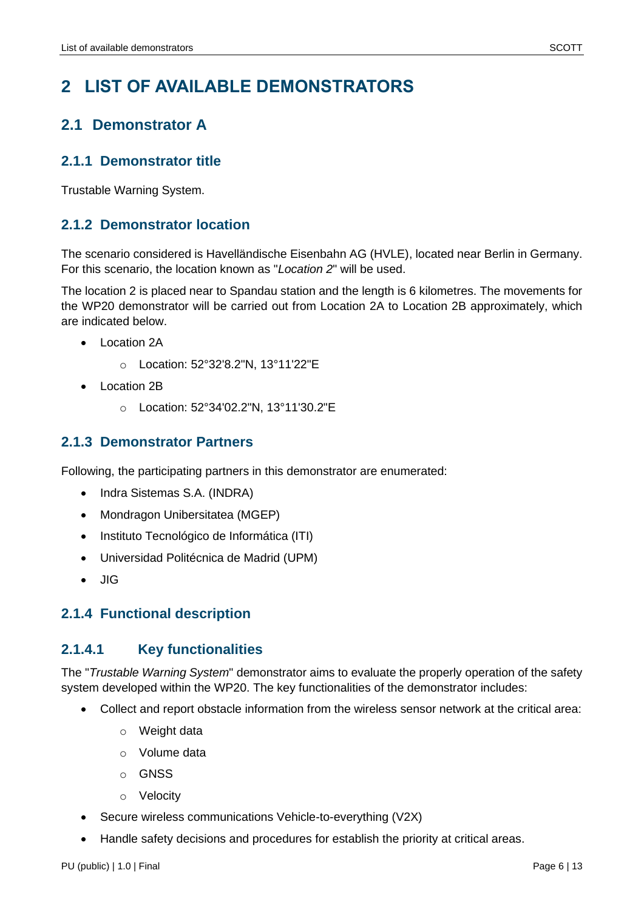### <span id="page-5-0"></span>**2 LIST OF AVAILABLE DEMONSTRATORS**

### <span id="page-5-1"></span>**2.1 Demonstrator A**

#### <span id="page-5-2"></span>**2.1.1 Demonstrator title**

Trustable Warning System.

#### <span id="page-5-3"></span>**2.1.2 Demonstrator location**

The scenario considered is Havelländische Eisenbahn AG (HVLE), located near Berlin in Germany. For this scenario, the location known as "*Location 2*" will be used.

The location 2 is placed near to Spandau station and the length is 6 kilometres. The movements for the WP20 demonstrator will be carried out from Location 2A to Location 2B approximately, which are indicated below.

- Location 2A
	- o Location: 52°32'8.2"N, 13°11'22"E
- Location 2B
	- o Location: 52°34'02.2"N, 13°11'30.2"E

#### <span id="page-5-4"></span>**2.1.3 Demonstrator Partners**

Following, the participating partners in this demonstrator are enumerated:

- Indra Sistemas S.A. (INDRA)
- Mondragon Unibersitatea (MGEP)
- Instituto Tecnológico de Informática (ITI)
- Universidad Politécnica de Madrid (UPM)
- JIG

#### <span id="page-5-5"></span>**2.1.4 Functional description**

#### <span id="page-5-6"></span>**2.1.4.1 Key functionalities**

The "*Trustable Warning System*" demonstrator aims to evaluate the properly operation of the safety system developed within the WP20. The key functionalities of the demonstrator includes:

- Collect and report obstacle information from the wireless sensor network at the critical area:
	- o Weight data
	- o Volume data
	- o GNSS
	- o Velocity
- Secure wireless communications Vehicle-to-everything (V2X)
- Handle safety decisions and procedures for establish the priority at critical areas.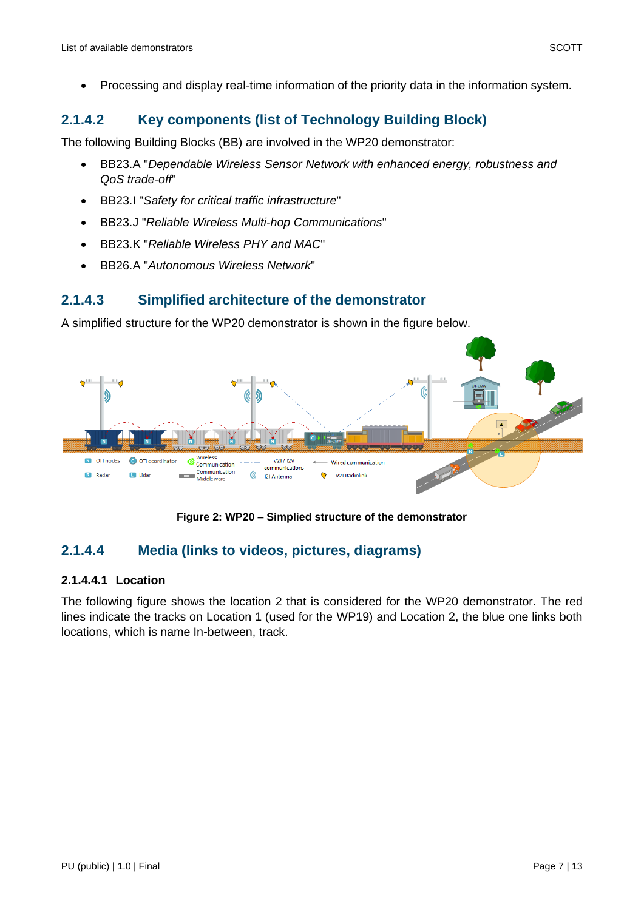#### <span id="page-6-0"></span>**2.1.4.2 Key components (list of Technology Building Block)**

The following Building Blocks (BB) are involved in the WP20 demonstrator:

- BB23.A "*Dependable Wireless Sensor Network with enhanced energy, robustness and QoS trade-off*"
- BB23.I "*Safety for critical traffic infrastructure*"
- BB23.J "*Reliable Wireless Multi-hop Communications*"
- BB23.K "*Reliable Wireless PHY and MAC*"
- BB26.A "*Autonomous Wireless Network*"

#### <span id="page-6-1"></span>**2.1.4.3 Simplified architecture of the demonstrator**

A simplified structure for the WP20 demonstrator is shown in the figure below.



**Figure 2: WP20 – Simplied structure of the demonstrator**

#### <span id="page-6-3"></span><span id="page-6-2"></span>**2.1.4.4 Media (links to videos, pictures, diagrams)**

#### **2.1.4.4.1 Location**

The following figure shows the location 2 that is considered for the WP20 demonstrator. The red lines indicate the tracks on Location 1 (used for the WP19) and Location 2, the blue one links both locations, which is name In-between, track.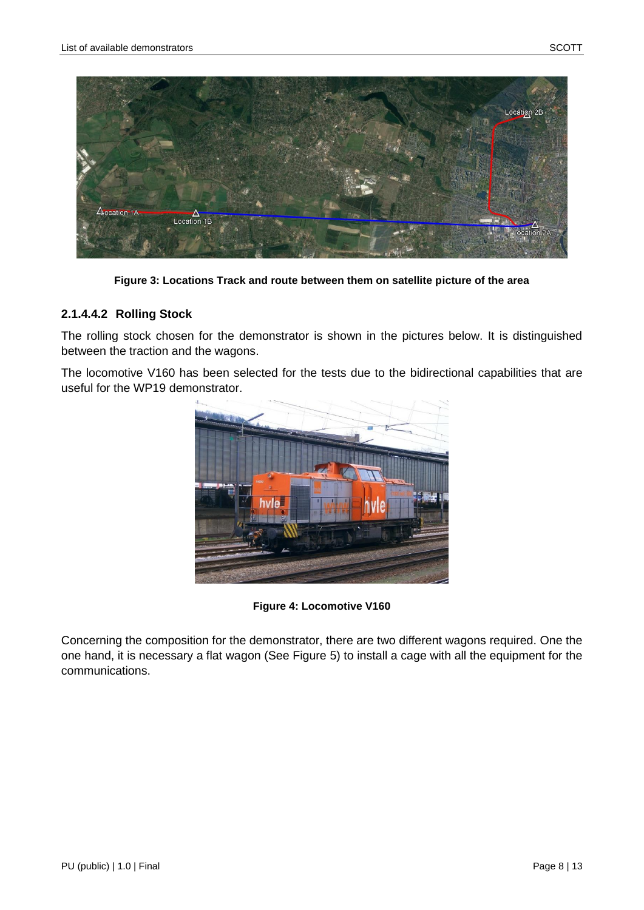

**Figure 3: Locations Track and route between them on satellite picture of the area**

#### <span id="page-7-0"></span>**2.1.4.4.2 Rolling Stock**

The rolling stock chosen for the demonstrator is shown in the pictures below. It is distinguished between the traction and the wagons.

The locomotive V160 has been selected for the tests due to the bidirectional capabilities that are useful for the WP19 demonstrator.



**Figure 4: Locomotive V160**

<span id="page-7-1"></span>Concerning the composition for the demonstrator, there are two different wagons required. One the one hand, it is necessary a flat wagon (See [Figure 5\)](#page-8-0) to install a cage with all the equipment for the communications.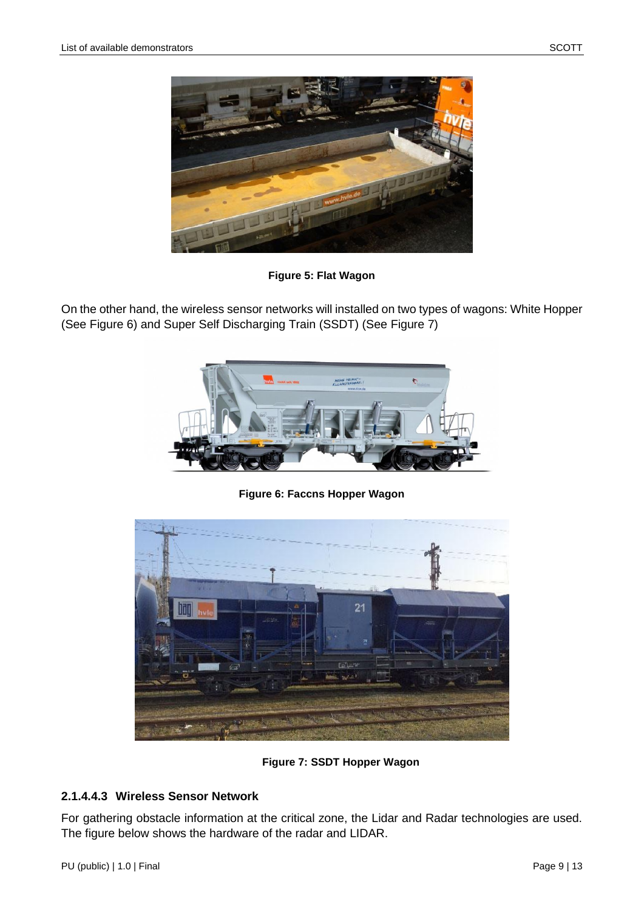

**Figure 5: Flat Wagon**

<span id="page-8-0"></span>On the other hand, the wireless sensor networks will installed on two types of wagons: White Hopper (See [Figure 6\)](#page-8-1) and Super Self Discharging Train (SSDT) (See [Figure 7\)](#page-8-2)



**Figure 6: Faccns Hopper Wagon**

<span id="page-8-1"></span>

**Figure 7: SSDT Hopper Wagon**

#### <span id="page-8-2"></span>**2.1.4.4.3 Wireless Sensor Network**

For gathering obstacle information at the critical zone, the Lidar and Radar technologies are used. The figure below shows the hardware of the radar and LIDAR.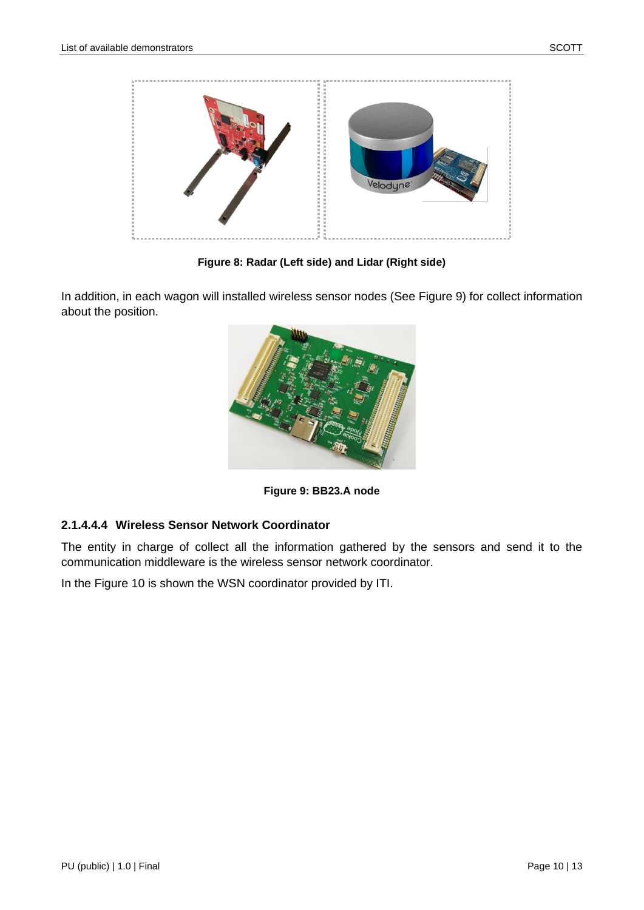

**Figure 8: Radar (Left side) and Lidar (Right side)**

<span id="page-9-0"></span>In addition, in each wagon will installed wireless sensor nodes (See [Figure 9\)](#page-9-1) for collect information about the position.



**Figure 9: BB23.A node**

#### <span id="page-9-1"></span>**2.1.4.4.4 Wireless Sensor Network Coordinator**

The entity in charge of collect all the information gathered by the sensors and send it to the communication middleware is the wireless sensor network coordinator.

In the [Figure 10](#page-10-0) is shown the WSN coordinator provided by ITI.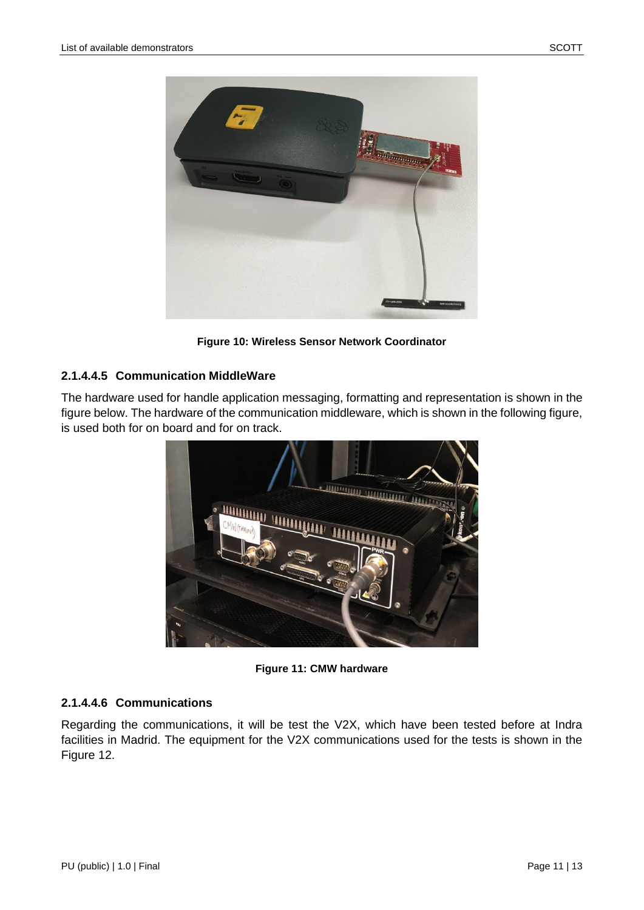

**Figure 10: Wireless Sensor Network Coordinator**

#### <span id="page-10-0"></span>**2.1.4.4.5 Communication MiddleWare**

The hardware used for handle application messaging, formatting and representation is shown in the figure below. The hardware of the communication middleware, which is shown in the following figure, is used both for on board and for on track.



**Figure 11: CMW hardware**

#### <span id="page-10-1"></span>**2.1.4.4.6 Communications**

Regarding the communications, it will be test the V2X, which have been tested before at Indra facilities in Madrid. The equipment for the V2X communications used for the tests is shown in the [Figure 12.](#page-11-0)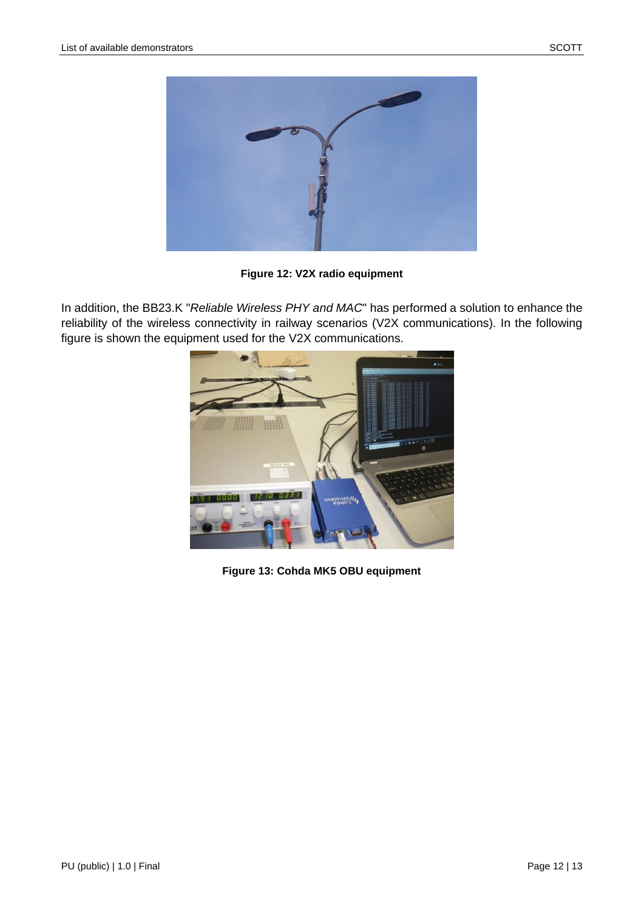

**Figure 12: V2X radio equipment**

<span id="page-11-0"></span>In addition, the BB23.K "*Reliable Wireless PHY and MAC*" has performed a solution to enhance the reliability of the wireless connectivity in railway scenarios (V2X communications). In the following figure is shown the equipment used for the V2X communications.



<span id="page-11-1"></span>**Figure 13: Cohda MK5 OBU equipment**